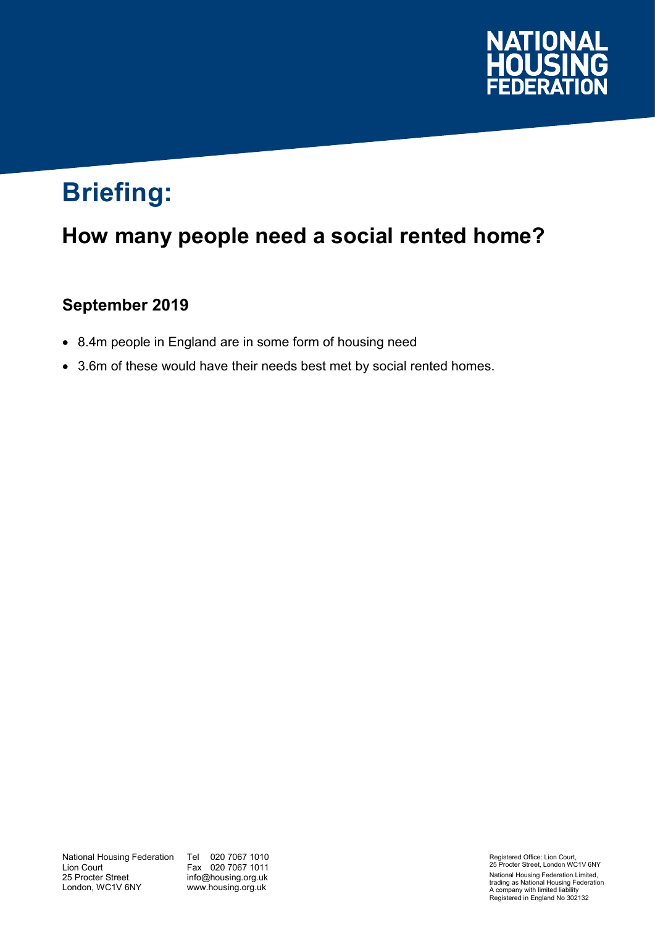

# **Briefing:**

## **How many people need a social rented home?**

### **September 2019**

- 8.4m people in England are in some form of housing need
- 3.6m of these would have their needs best met by social rented homes.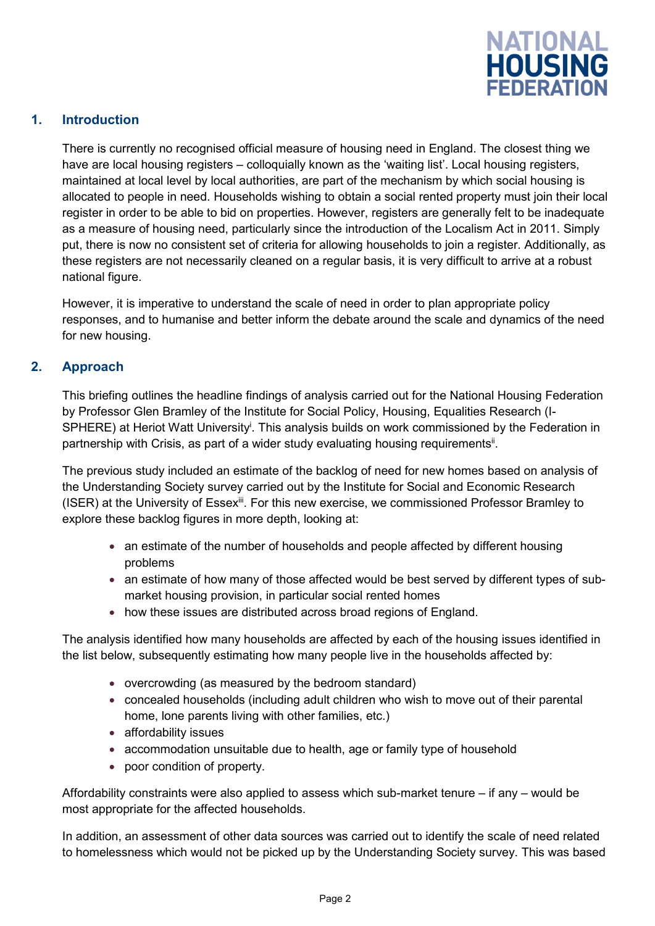

#### **1. Introduction**

There is currently no recognised official measure of housing need in England. The closest thing we have are local housing registers – colloquially known as the 'waiting list'. Local housing registers, maintained at local level by local authorities, are part of the mechanism by which social housing is allocated to people in need. Households wishing to obtain a social rented property must join their local register in order to be able to bid on properties. However, registers are generally felt to be inadequate as a measure of housing need, particularly since the introduction of the Localism Act in 2011. Simply put, there is now no consistent set of criteria for allowing households to join a register. Additionally, as these registers are not necessarily cleaned on a regular basis, it is very difficult to arrive at a robust national figure.

However, it is imperative to understand the scale of need in order to plan appropriate policy responses, and to humanise and better inform the debate around the scale and dynamics of the need for new housing.

#### **2. Approach**

This briefing outlines the headline findings of analysis carried out for the National Housing Federation by Professor Glen Bramley of the Institute for Social Policy, Housing, Equalities Research (I-SPHERE) at Heriot Watt University<sup>i</sup>. This analysis builds on work commissioned by the Federation in partnership with Crisis, as part of a wider study evaluating housing requirements<sup>ii</sup>.

The previous study included an estimate of the backlog of need for new homes based on analysis of the Understanding Society survey carried out by the Institute for Social and Economic Research (ISER) at the University of Essex<sup>ii</sup>. For this new exercise, we commissioned Professor Bramley to explore these backlog figures in more depth, looking at:

- an estimate of the number of households and people affected by different housing problems
- an estimate of how many of those affected would be best served by different types of submarket housing provision, in particular social rented homes
- how these issues are distributed across broad regions of England.

The analysis identified how many households are affected by each of the housing issues identified in the list below, subsequently estimating how many people live in the households affected by:

- overcrowding (as measured by the bedroom standard)
- concealed households (including adult children who wish to move out of their parental home, lone parents living with other families, etc.)
- affordability issues
- accommodation unsuitable due to health, age or family type of household
- poor condition of property.

Affordability constraints were also applied to assess which sub-market tenure  $-$  if any  $-$  would be most appropriate for the affected households.

In addition, an assessment of other data sources was carried out to identify the scale of need related to homelessness which would not be picked up by the Understanding Society survey. This was based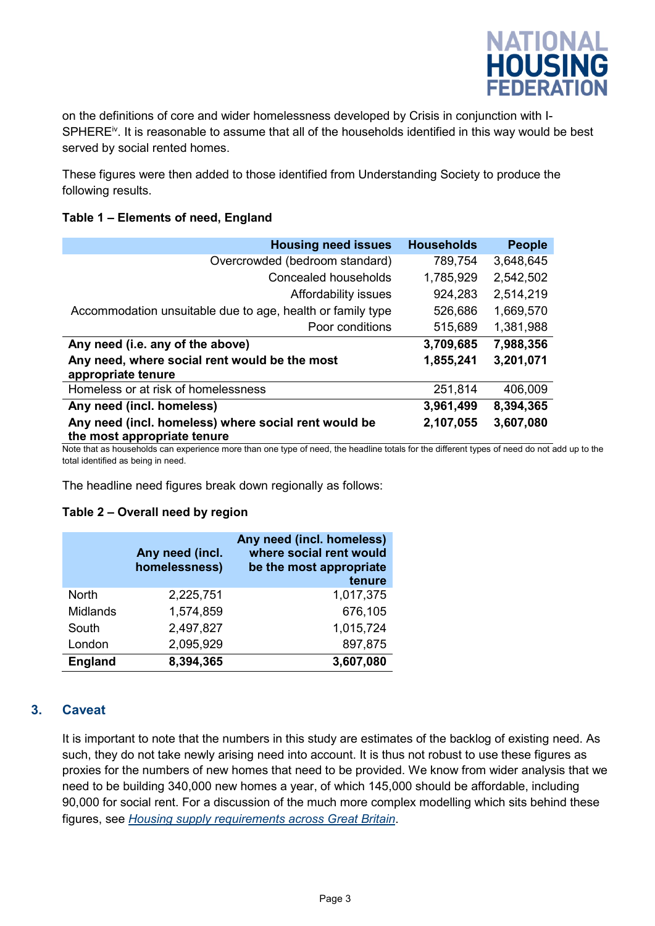

on the definitions of core and wider homelessness developed by Crisis in conjunction with I-SPHERE<sup>iv</sup>. It is reasonable to assume that all of the households identified in this way would be best served by social rented homes.

These figures were then added to those identified from Understanding Society to produce the following results.

#### **Table 1 – Elements of need, England**

| <b>Housing need issues</b>                                                          | <b>Households</b> | <b>People</b> |
|-------------------------------------------------------------------------------------|-------------------|---------------|
| Overcrowded (bedroom standard)                                                      | 789,754           | 3,648,645     |
| <b>Concealed households</b>                                                         | 1,785,929         | 2,542,502     |
| Affordability issues                                                                | 924,283           | 2,514,219     |
| Accommodation unsuitable due to age, health or family type                          | 526,686           | 1,669,570     |
| Poor conditions                                                                     | 515,689           | 1,381,988     |
| Any need (i.e. any of the above)                                                    | 3,709,685         | 7,988,356     |
| Any need, where social rent would be the most<br>appropriate tenure                 | 1,855,241         | 3,201,071     |
| Homeless or at risk of homelessness                                                 | 251,814           | 406,009       |
| Any need (incl. homeless)                                                           | 3,961,499         | 8,394,365     |
| Any need (incl. homeless) where social rent would be<br>the most appropriate tenure | 2,107,055         | 3,607,080     |

Note that as households can experience more than one type of need, the headline totals for the different types of need do not add up to the total identified as being in need.

The headline need figures break down regionally as follows:

#### **Table 2 – Overall need by region**

|                 | Any need (incl.<br>homelessness) | Any need (incl. homeless)<br>where social rent would<br>be the most appropriate<br>tenure |
|-----------------|----------------------------------|-------------------------------------------------------------------------------------------|
| <b>North</b>    | 2,225,751                        | 1,017,375                                                                                 |
| <b>Midlands</b> | 1,574,859                        | 676,105                                                                                   |
| South           | 2,497,827                        | 1,015,724                                                                                 |
| London          | 2,095,929                        | 897,875                                                                                   |
| <b>England</b>  | 8,394,365                        | 3,607,080                                                                                 |

#### **3. Caveat**

It is important to note that the numbers in this study are estimates of the backlog of existing need. As such, they do not take newly arising need into account. It is thus not robust to use these figures as proxies for the numbers of new homes that need to be provided. We know from wider analysis that we need to be building 340,000 new homes a year, of which 145,000 should be affordable, including 90,000 for social rent. For a discussion of the much more complex modelling which sits behind these figures, see *[Housing supply requirements across Great Britain](https://www.crisis.org.uk/ending-homelessness/homelessness-knowledge-hub/housing-models-and-access/housing-supply-requirements-across-great-britain-2018/)*.